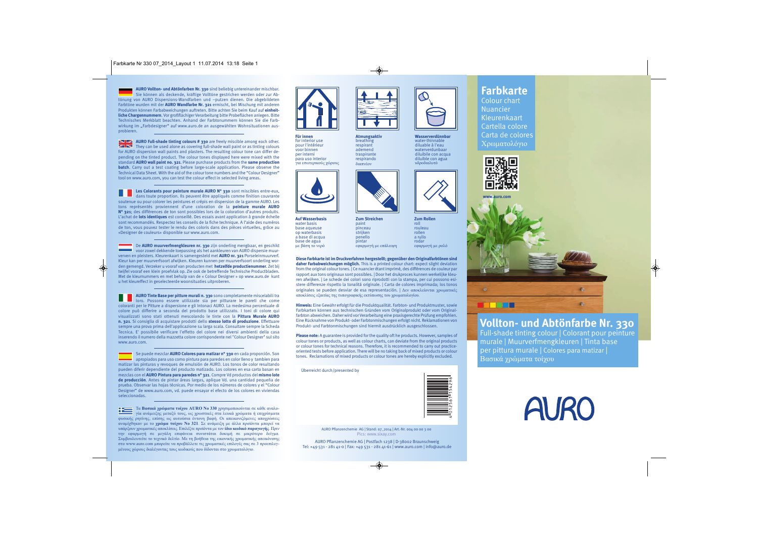**AURO Vollton- und Abtönfarben Nr. 330** sind beliebig untereinander mischbar. Sie können als deckende, kräftige Volltöne gestrichen werden oder zur Abtönung von AURO Dispersions-Wandfarben und –putzen dienen. Die abgebildeten Farbtöne wurden mit der **AURO Wandfarbe Nr. 321** ermischt, bei Mischung mit anderen Produkten können Farbabweichungen auftreten. Bitte achten Sie beim Kauf auf **einheitliche Chargennummern**. Vor großflächiger Verarbeitung bitte Probeflächen anlegen. Bitte Technisches Merkblatt beachten. Anhand der Farbtonummern können Sie die Farbwirkung im "Farbdesigner" auf www.auro.de an ausgewählten Wohnsituationen ausprobieren.

**AURO Full-shade tinting colours # 330** are freely miscible among each other.  $\blacksquare$  They can be used alone as covering full-shade wall paint or as tinting colours for AURO dispersion wall paints and plasters. The resulting colour tone can differ depending on the tinted product. The colour tones displayed here were mixed with the standard **AURO wall paint no. 321**. Please purchase products from the **same production batch**. Carry out a test coating before large-scale application. Please observe the Technical Data Sheet. With the aid of the colour tone numbers and the "Colour Designer" tool on www.auro.com, you can test the colour effect in selected living areas.

**Les Colorants pour peinture murale AURO N° 330** sont miscibles entre-eux, dans toute proportion. Ils peuvent être appliqués comme finition couvrante soutenue ou pour colorer les peintures et crépis en dispersion de la gamme AURO. Les tons représentés proviennent d'une coloration de la **peinture murale AURO N° 321**; des différences de ton sont possibles lors de la coloration d'autres produits. L'achat de **lots identiques** est conseillé. Des essais avant application à grande échelle sont recommandés. Respectez les conseils de la fiche technique. A l'aide des numéros de ton, vous pouvez tester le rendu des coloris dans des pièces virtuelles, grâce au «Designer de couleurs» disponible sur www.auro.com.

De **AURO muurverfmengkleuren nr. 330** zijn onderling mengbaar, en geschikt voor zowel dekkende toepassing als het aankleuren van AURO dispersie muurverven en pleisters. Kleurenkaart is samengesteld met **AURO nr. 321** Porseleinmuurverf. Kleur kan per muurverfsoort afwijken. Kleuren kunnen per muurverfsoort onderling worden gemengd. Verzeker u vooraf van producten met **hetzelfde productienummer**. Zet bij twijfel vooraf een klein proefvlak op. Zie ook de betreffende Technische Productbladen. Met de kleurnummers en met behulp van de « Colour Designer » op www.auro.de kunt u het kleureffect in geselecteerde woonsituaties uitproberen.

**AURO Tinte Base per pitture murali n. 330** sono completamente miscelabili tra loro. Possono essere utilizzate sia per pitturare le pareti che come coloranti per le Pitture a dispersione e gli Intonaci AURO. La medesima percentuale di colore può differire a seconda del prodotto base utilizzato. I toni di colore qui visualizzati sono stati ottenuti mescolando le tinte con la **Pittura Murale AURO n. 321**. Si consiglia di acquistare prodotti dello **stesso lotto di produzione**. Effettuare sempre una prova prima dell'applicazione su larga scala. Consultare sempre la Scheda Tecnica. E' possibile verificare l'effetto del colore nei diversi ambienti della casa inserendo il numero della mazzetta colore corrispondente nel "Colour Designer" sul sito www.auro.com.

Se puede mezclar **AURO Colores para matizar n° 330** en cada proporción. Son apropiados para uso como pintura para paredes en color lleno y tambien para matizar las pinturas y revoques de emulsión de AURO. Los tonos de color resultando pueden diferir dependiente del producto matizado. Los colores en esa carta basan en mezclas con el **AURO Pintura para paredes n° 321**. Compre Vd productos del **mismo lote de producción**. Antes de pintar áreas largas, aplique Vd. una cantidad pequeña de prueba. Observar las hojas técnicas. Por medio de los números de colores y el "Colour Designer" de www.auro.com, vd. puede ensayar el efecto de los colores en viviendas seleccionadas.

Τα **Βασικά χρώματα τοίχου AURO No 330** χρησιμοποιούνται σε κάθε αναλογία ανάμειξης μεταξύ τους, ως χρωστικές στα λευκά χρώματα ή επιχρίσματα φυσικής ρητίνης, επίσης ως αυτούσια έντονη βαφή. Οι απεικονιζόμενες αποχρώσεις αναμίχθηκαν με το **χρώμα τοίχου Νο 321**. Σε ανάμειξη με άλλα προϊόντα μπορεί να υπάρξουν χρωματικές αποκλίσεις. Επιλέξτε προϊόντα με τον **ίδιο κωδικό παραγωγής**. Πριν την εφαρμογή σε μεγάλη επιφάνεια συνιστάται δοκιμή σε μικρότερο δείγμα. Συμβουλευτείτε το τεχνικό δελτίο. Με τη βοήθεια της εικονικής χρωματικής απεικόνισης στο www.auro.com μπορείτε να προβάλλετε τις χρωματικές επιλογές σας σε 3 προεπιλεγμένους χώρους διαλέγοντας τους κωδικούς που δίδονται στο χρωματολόγιο.



**Für innen** for interior use pour l'intérieur voor binnen per interni para uso interior για εσωτερικούς χώρους



**Auf Wasserbasis** water basis base aqueuse op waterbasis a base di acqua base de agua με βάση το νερό



paint

strijken penello pintar

**Atmungsaktiv** breathing respirant ademend traspirante respirando διαπνέον

**Zum Streichen** pinceau εφαρμογή με επάλειψη **Zum Rollen** roll rouleau rollen a rullo rodar εφαρμογή με ρολό

**Wasserverdünnbar** water-thinnable diluable à l'eau waterverdunbaar diluibile con acqua diluible con agua υδροδιαλυτό

**Diese Farbkarte ist im Druckverfahren hergestellt; gegenüber den Originalfarbtönen sind daher Farbabweichungen möglich.** This is a printed colour chart: expect slight deviation from the original colour tones. | Ce nuancier étant imprimé, des différences de couleur par rapport aux tons originaux sont possibles. | Door het drukproces kunnen werkelijke kleuren afwijken. | Le schede dei colori sono riprodotti con la stampa, per cui possono esistere differenze rispetto la tonalitá originale. | Carta de colores imprimada; los tonos originales se pueden desviar de esa representación. | Δεν αποκλείονται χρωματικές αποκλίσεις εξαιτίας της τυπογραφικής εκτύπωσης του χρωματολογίου.

**Hinweis:** Eine Gewähr erfolgt für die Produktqualität. Farbton- und Produktmuster, sowie Farbkarten können aus technischen Gründen vom Originalprodukt oder vom Originalfarbton abweichen. Daher wird vor Verarbeitung eine praxisgerechte Prüfung empfohlen. Eine Rücknahme von Produkt- oder Farbtonmischungen erfolgt nicht. Reklamationen von Produkt- und Farbtonmischungen sind hiermit ausdrücklich ausgeschlossen.

**Please note:** A guarantee is provided for the quality oft he products. However, samples of colour tones or products, as well as colour charts, can deviate from the original products or colour tones for technical reasons. Therefore, it is recommended to carry out practiceoriented tests before application. There will be no taking back of mixed products or colour tones. Reclamations of mixed products or colour tones are hereby explicitly excluded.

Überreicht durch/presented by



AURO Pflanzenchemie AG | Stand: 07\_2014 | Art.-Nr. 004 00 00 3 00 Pics: www.sixay.com

AURO Pflanzenchemie AG | Postfach 1238 | D-38002 Braunschweig Tel: +49 531 - 281 41-0 | Fax: +49 531 - 281 41-61 | www.auro.com | info@auro.de

## **Farbkarte**

Colour chart Nuancier Kleurenkaart Cartella colore Carta de colores Χρωματολόγιο





## **Vollton- und Abtönfarbe Nr. 330**

Full-shade tinting colour | Colorant pour peinture murale | Muurverfmengkleuren | Tinta base per pittura murale | Colores para matizar | Bασικά χρώματα τοίχου